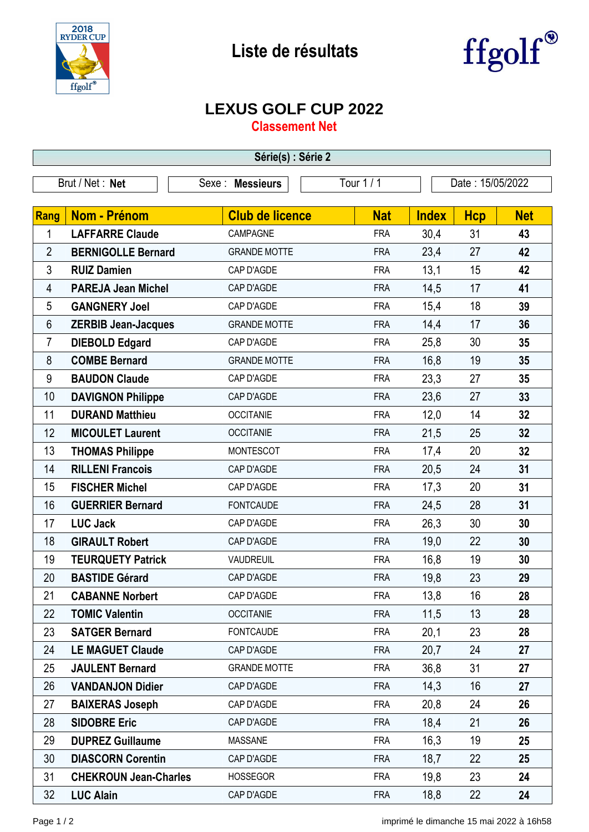

## **Liste de résultats**



## **LEXUS GOLF CUP 2022**

**Classement Net**

| Série(s) : Série 2 |                              |                        |            |              |                  |            |  |  |  |
|--------------------|------------------------------|------------------------|------------|--------------|------------------|------------|--|--|--|
| Brut / Net: Net    |                              | Sexe: Messieurs        | Tour 1 / 1 |              | Date: 15/05/2022 |            |  |  |  |
|                    |                              |                        |            |              |                  |            |  |  |  |
| Rang               | <b>Nom - Prénom</b>          | <b>Club de licence</b> | <b>Nat</b> | <b>Index</b> | <b>Hcp</b>       | <b>Net</b> |  |  |  |
| 1                  | <b>LAFFARRE Claude</b>       | CAMPAGNE               | <b>FRA</b> | 30,4         | 31               | 43         |  |  |  |
| $\overline{2}$     | <b>BERNIGOLLE Bernard</b>    | <b>GRANDE MOTTE</b>    | <b>FRA</b> | 23,4         | 27               | 42         |  |  |  |
| $\mathfrak{Z}$     | <b>RUIZ Damien</b>           | CAP D'AGDE             | <b>FRA</b> | 13,1         | 15               | 42         |  |  |  |
| 4                  | <b>PAREJA Jean Michel</b>    | CAP D'AGDE             | <b>FRA</b> | 14,5         | 17               | 41         |  |  |  |
| 5                  | <b>GANGNERY Joel</b>         | CAP D'AGDE             | <b>FRA</b> | 15,4         | 18               | 39         |  |  |  |
| 6                  | <b>ZERBIB Jean-Jacques</b>   | <b>GRANDE MOTTE</b>    | <b>FRA</b> | 14,4         | 17               | 36         |  |  |  |
| 7                  | <b>DIEBOLD Edgard</b>        | CAP D'AGDE             | <b>FRA</b> | 25,8         | 30               | 35         |  |  |  |
| 8                  | <b>COMBE Bernard</b>         | <b>GRANDE MOTTE</b>    | <b>FRA</b> | 16,8         | 19               | 35         |  |  |  |
| 9                  | <b>BAUDON Claude</b>         | CAP D'AGDE             | <b>FRA</b> | 23,3         | 27               | 35         |  |  |  |
| 10                 | <b>DAVIGNON Philippe</b>     | CAP D'AGDE             | <b>FRA</b> | 23,6         | 27               | 33         |  |  |  |
| 11                 | <b>DURAND Matthieu</b>       | <b>OCCITANIE</b>       | <b>FRA</b> | 12,0         | 14               | 32         |  |  |  |
| 12                 | <b>MICOULET Laurent</b>      | <b>OCCITANIE</b>       | <b>FRA</b> | 21,5         | 25               | 32         |  |  |  |
| 13                 | <b>THOMAS Philippe</b>       | <b>MONTESCOT</b>       | <b>FRA</b> | 17,4         | 20               | 32         |  |  |  |
| 14                 | <b>RILLENI Francois</b>      | CAP D'AGDE             | <b>FRA</b> | 20,5         | 24               | 31         |  |  |  |
| 15                 | <b>FISCHER Michel</b>        | CAP D'AGDE             | <b>FRA</b> | 17,3         | 20               | 31         |  |  |  |
| 16                 | <b>GUERRIER Bernard</b>      | <b>FONTCAUDE</b>       | <b>FRA</b> | 24,5         | 28               | 31         |  |  |  |
| 17                 | <b>LUC Jack</b>              | CAP D'AGDE             | <b>FRA</b> | 26,3         | 30               | 30         |  |  |  |
| 18                 | <b>GIRAULT Robert</b>        | CAP D'AGDE             | <b>FRA</b> | 19,0         | 22               | 30         |  |  |  |
| 19                 | <b>TEURQUETY Patrick</b>     | <b>VAUDREUIL</b>       | <b>FRA</b> | 16,8         | 19               | 30         |  |  |  |
| 20                 | <b>BASTIDE Gérard</b>        | CAP D'AGDE             | <b>FRA</b> | 19,8         | 23               | 29         |  |  |  |
| 21                 | <b>CABANNE Norbert</b>       | CAP D'AGDE             | <b>FRA</b> | 13,8         | 16               | 28         |  |  |  |
| 22                 | <b>TOMIC Valentin</b>        | <b>OCCITANIE</b>       | <b>FRA</b> | 11,5         | 13               | 28         |  |  |  |
| 23                 | <b>SATGER Bernard</b>        | <b>FONTCAUDE</b>       | <b>FRA</b> | 20,1         | 23               | 28         |  |  |  |
| 24                 | <b>LE MAGUET Claude</b>      | CAP D'AGDE             | <b>FRA</b> | 20,7         | 24               | 27         |  |  |  |
| 25                 | <b>JAULENT Bernard</b>       | <b>GRANDE MOTTE</b>    | <b>FRA</b> | 36,8         | 31               | 27         |  |  |  |
| 26                 | <b>VANDANJON Didier</b>      | CAP D'AGDE             | <b>FRA</b> | 14,3         | 16               | 27         |  |  |  |
| 27                 | <b>BAIXERAS Joseph</b>       | CAP D'AGDE             | <b>FRA</b> | 20,8         | 24               | 26         |  |  |  |
| 28                 | <b>SIDOBRE Eric</b>          | CAP D'AGDE             | <b>FRA</b> | 18,4         | 21               | 26         |  |  |  |
| 29                 | <b>DUPREZ Guillaume</b>      | <b>MASSANE</b>         | <b>FRA</b> | 16,3         | 19               | 25         |  |  |  |
| 30                 | <b>DIASCORN Corentin</b>     | CAP D'AGDE             | <b>FRA</b> | 18,7         | 22               | 25         |  |  |  |
| 31                 | <b>CHEKROUN Jean-Charles</b> | <b>HOSSEGOR</b>        | <b>FRA</b> | 19,8         | 23               | 24         |  |  |  |
| 32                 | <b>LUC Alain</b>             | CAP D'AGDE             | <b>FRA</b> | 18,8         | 22               | 24         |  |  |  |